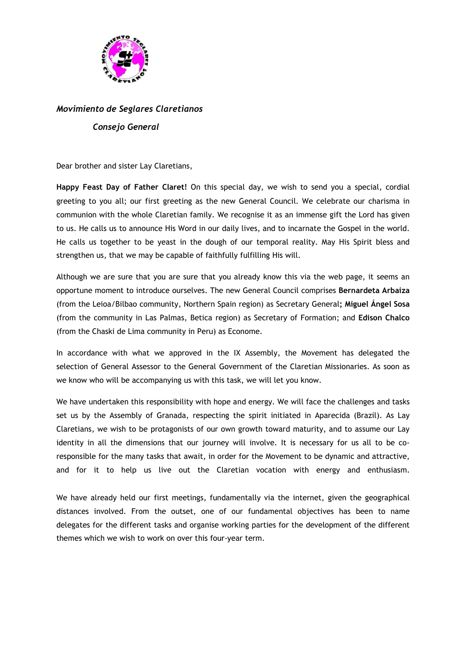

## *Movimiento de Seglares Claretianos Consejo General*

Dear brother and sister Lay Claretians,

**Happy Feast Day of Father Claret!** On this special day, we wish to send you a special, cordial greeting to you all; our first greeting as the new General Council. We celebrate our charisma in communion with the whole Claretian family. We recognise it as an immense gift the Lord has given to us. He calls us to announce His Word in our daily lives, and to incarnate the Gospel in the world. He calls us together to be yeast in the dough of our temporal reality. May His Spirit bless and strengthen us, that we may be capable of faithfully fulfilling His will.

Although we are sure that you are sure that you already know this via the web page, it seems an opportune moment to introduce ourselves. The new General Council comprises **Bernardeta Arbaiza** (from the Leioa/Bilbao community, Northern Spain region) as Secretary General**; Miguel Ángel Sosa** (from the community in Las Palmas, Betica region) as Secretary of Formation; and **Edison Chalco** (from the Chaski de Lima community in Peru) as Econome.

In accordance with what we approved in the IX Assembly, the Movement has delegated the selection of General Assessor to the General Government of the Claretian Missionaries. As soon as we know who will be accompanying us with this task, we will let you know.

We have undertaken this responsibility with hope and energy. We will face the challenges and tasks set us by the Assembly of Granada, respecting the spirit initiated in Aparecida (Brazil). As Lay Claretians, we wish to be protagonists of our own growth toward maturity, and to assume our Lay identity in all the dimensions that our journey will involve. It is necessary for us all to be coresponsible for the many tasks that await, in order for the Movement to be dynamic and attractive, and for it to help us live out the Claretian vocation with energy and enthusiasm.

We have already held our first meetings, fundamentally via the internet, given the geographical distances involved. From the outset, one of our fundamental objectives has been to name delegates for the different tasks and organise working parties for the development of the different themes which we wish to work on over this four-year term.